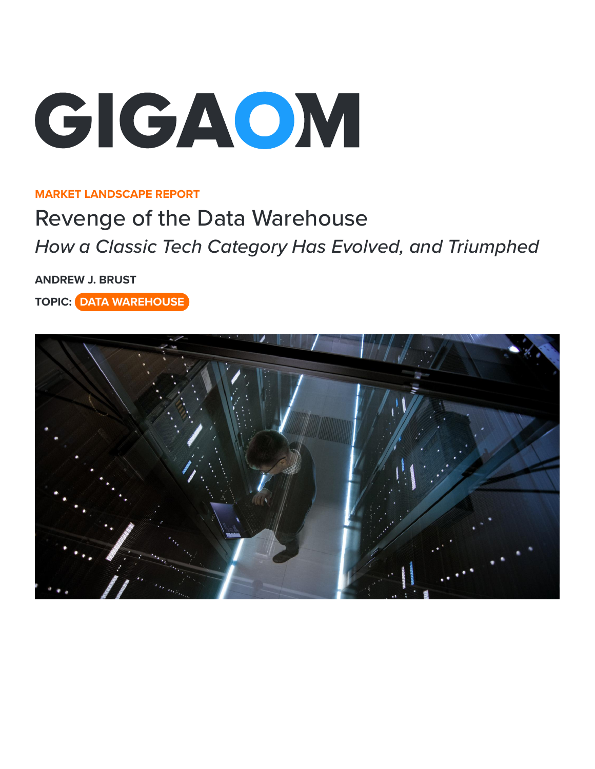

#### **MARKET LANDSCAPE REPORT**

# Revenge of the Data Warehouse

*How a Classic Tech Category Has Evolved, and Triumphed*

**[ANDREW J. BRUST](https://gigaom.com/analyst/brust-andrew/)**

**TOPIC: DATA WAREHOUSE**

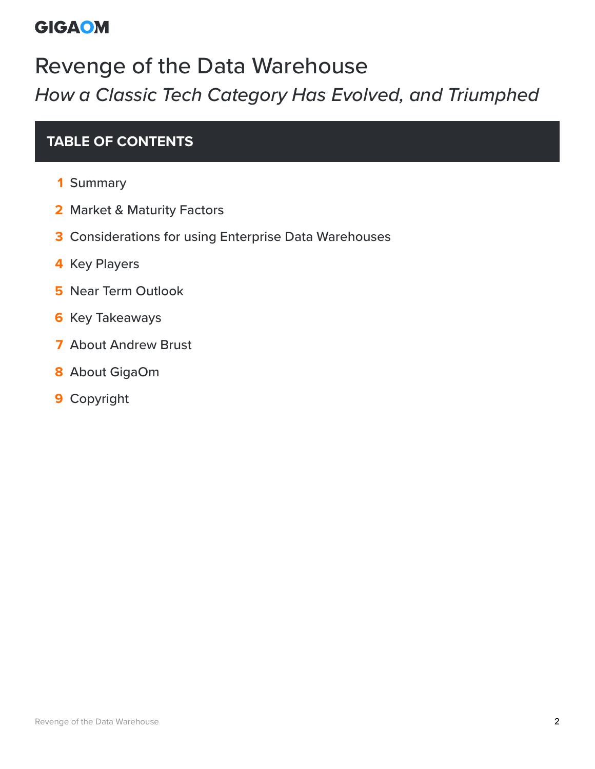# Revenge of the Data Warehouse *How a Classic Tech Category Has Evolved, and Triumphed*

#### **TABLE OF CONTENTS**

- Summary
- [Market & Maturity Factors](#page-4-0)
- [Considerations for using Enterprise Data Warehouses](#page-10-0)
- [Key Players](#page-12-0)
- [Near Term Outlook](#page-23-0)
- [Key Takeaways](#page-25-0)
- [About Andrew Brust](#page-27-0)
- [About GigaOm](#page-28-0)
- [Copyright](#page-29-0)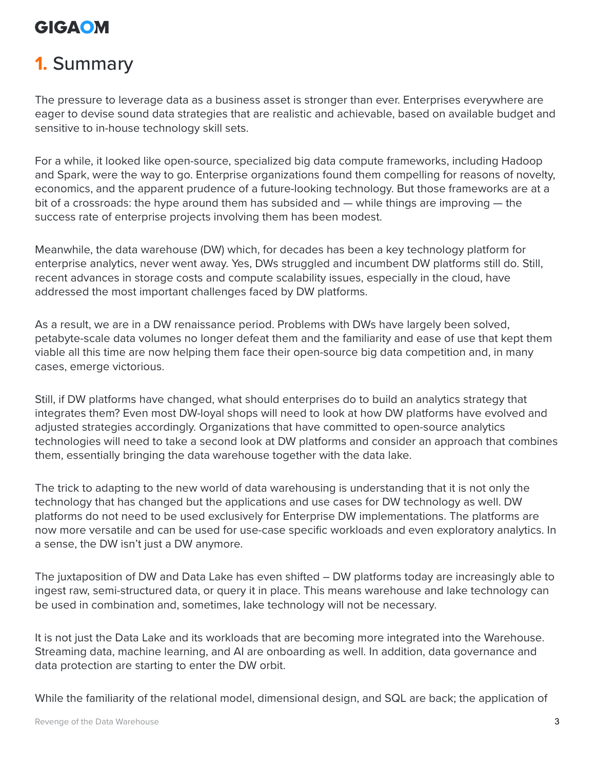## **1.** Summary

The pressure to leverage data as a business asset is stronger than ever. Enterprises everywhere are eager to devise sound data strategies that are realistic and achievable, based on available budget and sensitive to in-house technology skill sets.

For a while, it looked like open-source, specialized big data compute frameworks, including Hadoop and Spark, were the way to go. Enterprise organizations found them compelling for reasons of novelty, economics, and the apparent prudence of a future-looking technology. But those frameworks are at a bit of a crossroads: the hype around them has subsided and — while things are improving — the success rate of enterprise projects involving them has been modest.

Meanwhile, the data warehouse (DW) which, for decades has been a key technology platform for enterprise analytics, never went away. Yes, DWs struggled and incumbent DW platforms still do. Still, recent advances in storage costs and compute scalability issues, especially in the cloud, have addressed the most important challenges faced by DW platforms.

As a result, we are in a DW renaissance period. Problems with DWs have largely been solved, petabyte-scale data volumes no longer defeat them and the familiarity and ease of use that kept them viable all this time are now helping them face their open-source big data competition and, in many cases, emerge victorious.

Still, if DW platforms have changed, what should enterprises do to build an analytics strategy that integrates them? Even most DW-loyal shops will need to look at how DW platforms have evolved and adjusted strategies accordingly. Organizations that have committed to open-source analytics technologies will need to take a second look at DW platforms and consider an approach that combines them, essentially bringing the data warehouse together with the data lake.

The trick to adapting to the new world of data warehousing is understanding that it is not only the technology that has changed but the applications and use cases for DW technology as well. DW platforms do not need to be used exclusively for Enterprise DW implementations. The platforms are now more versatile and can be used for use-case specific workloads and even exploratory analytics. In a sense, the DW isn't just a DW anymore.

The juxtaposition of DW and Data Lake has even shifted – DW platforms today are increasingly able to ingest raw, semi-structured data, or query it in place. This means warehouse and lake technology can be used in combination and, sometimes, lake technology will not be necessary.

It is not just the Data Lake and its workloads that are becoming more integrated into the Warehouse. Streaming data, machine learning, and AI are onboarding as well. In addition, data governance and data protection are starting to enter the DW orbit.

While the familiarity of the relational model, dimensional design, and SQL are back; the application of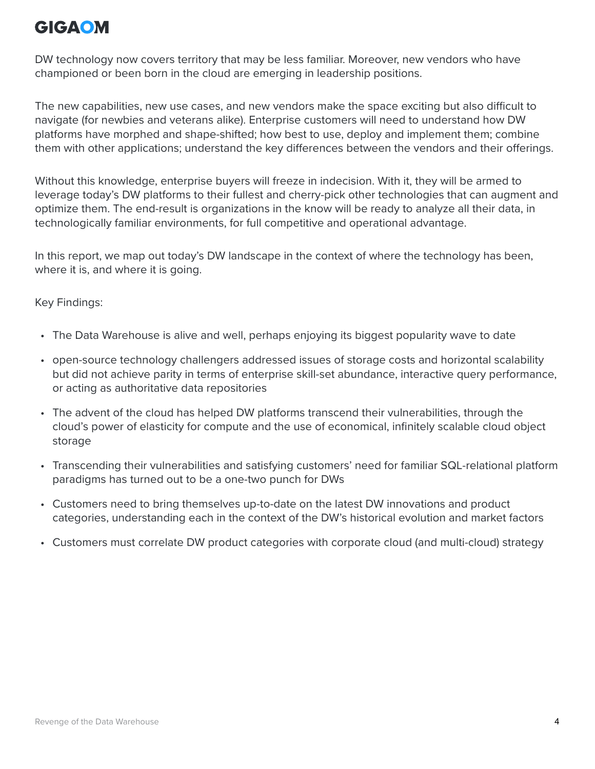DW technology now covers territory that may be less familiar. Moreover, new vendors who have championed or been born in the cloud are emerging in leadership positions.

The new capabilities, new use cases, and new vendors make the space exciting but also difficult to navigate (for newbies and veterans alike). Enterprise customers will need to understand how DW platforms have morphed and shape-shifted; how best to use, deploy and implement them; combine them with other applications; understand the key differences between the vendors and their offerings.

Without this knowledge, enterprise buyers will freeze in indecision. With it, they will be armed to leverage today's DW platforms to their fullest and cherry-pick other technologies that can augment and optimize them. The end-result is organizations in the know will be ready to analyze all their data, in technologically familiar environments, for full competitive and operational advantage.

In this report, we map out today's DW landscape in the context of where the technology has been, where it is, and where it is going.

Key Findings:

- The Data Warehouse is alive and well, perhaps enjoying its biggest popularity wave to date
- open-source technology challengers addressed issues of storage costs and horizontal scalability but did not achieve parity in terms of enterprise skill-set abundance, interactive query performance, or acting as authoritative data repositories
- The advent of the cloud has helped DW platforms transcend their vulnerabilities, through the cloud's power of elasticity for compute and the use of economical, infinitely scalable cloud object storage
- Transcending their vulnerabilities and satisfying customers' need for familiar SQL-relational platform paradigms has turned out to be a one-two punch for DWs
- Customers need to bring themselves up-to-date on the latest DW innovations and product categories, understanding each in the context of the DW's historical evolution and market factors
- Customers must correlate DW product categories with corporate cloud (and multi-cloud) strategy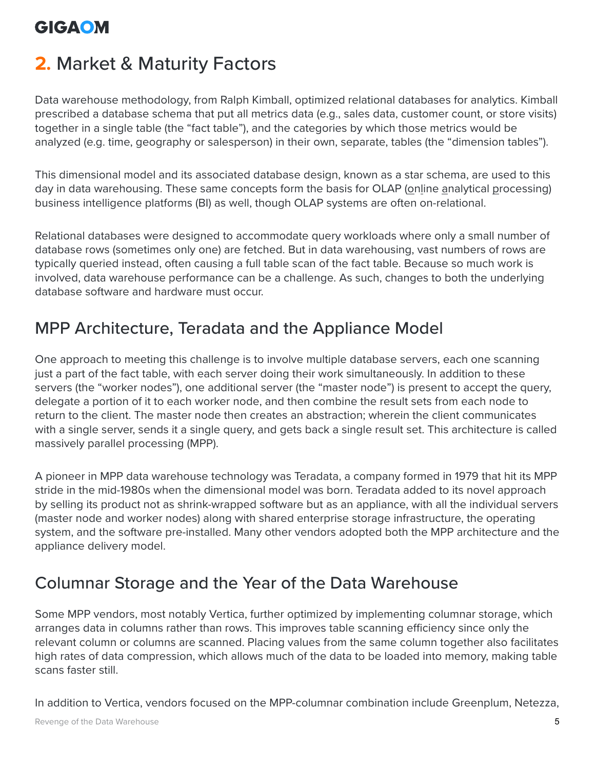## <span id="page-4-0"></span>**2.** Market & Maturity Factors

Data warehouse methodology, from Ralph Kimball, optimized relational databases for analytics. Kimball prescribed a database schema that put all metrics data (e.g., sales data, customer count, or store visits) together in a single table (the "fact table"), and the categories by which those metrics would be analyzed (e.g. time, geography or salesperson) in their own, separate, tables (the "dimension tables").

This dimensional model and its associated database design, known as a star schema, are used to this day in data warehousing. These same concepts form the basis for OLAP (online analytical processing) business intelligence platforms (BI) as well, though OLAP systems are often on-relational.

Relational databases were designed to accommodate query workloads where only a small number of database rows (sometimes only one) are fetched. But in data warehousing, vast numbers of rows are typically queried instead, often causing a full table scan of the fact table. Because so much work is involved, data warehouse performance can be a challenge. As such, changes to both the underlying database software and hardware must occur.

#### MPP Architecture, Teradata and the Appliance Model

One approach to meeting this challenge is to involve multiple database servers, each one scanning just a part of the fact table, with each server doing their work simultaneously. In addition to these servers (the "worker nodes"), one additional server (the "master node") is present to accept the query, delegate a portion of it to each worker node, and then combine the result sets from each node to return to the client. The master node then creates an abstraction; wherein the client communicates with a single server, sends it a single query, and gets back a single result set. This architecture is called massively parallel processing (MPP).

A pioneer in MPP data warehouse technology was Teradata, a company formed in 1979 that hit its MPP stride in the mid-1980s when the dimensional model was born. Teradata added to its novel approach by selling its product not as shrink-wrapped software but as an appliance, with all the individual servers (master node and worker nodes) along with shared enterprise storage infrastructure, the operating system, and the software pre-installed. Many other vendors adopted both the MPP architecture and the appliance delivery model.

#### Columnar Storage and the Year of the Data Warehouse

Some MPP vendors, most notably Vertica, further optimized by implementing columnar storage, which arranges data in columns rather than rows. This improves table scanning efficiency since only the relevant column or columns are scanned. Placing values from the same column together also facilitates high rates of data compression, which allows much of the data to be loaded into memory, making table scans faster still.

In addition to Vertica, vendors focused on the MPP-columnar combination include Greenplum, Netezza,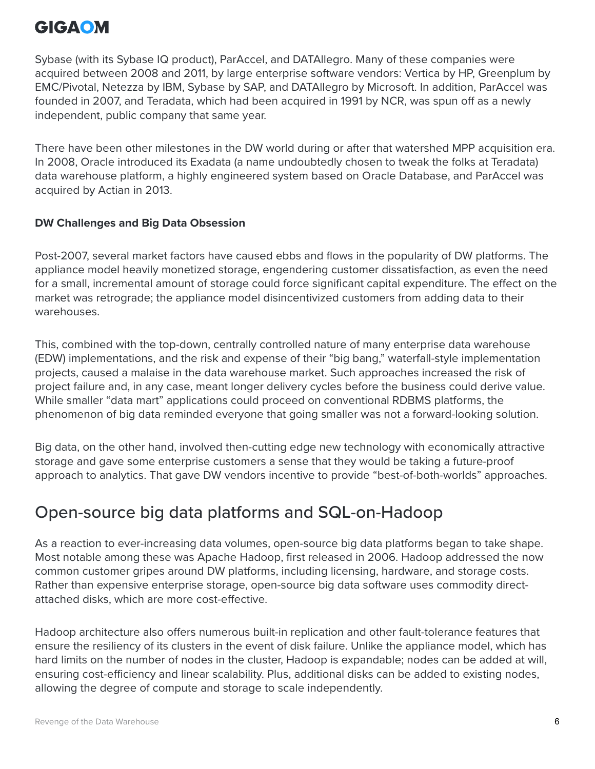Sybase (with its Sybase IQ product), ParAccel, and DATAllegro. Many of these companies were acquired between 2008 and 2011, by large enterprise software vendors: Vertica by HP, Greenplum by EMC/Pivotal, Netezza by IBM, Sybase by SAP, and DATAllegro by Microsoft. In addition, ParAccel was founded in 2007, and Teradata, which had been acquired in 1991 by NCR, was spun off as a newly independent, public company that same year.

There have been other milestones in the DW world during or after that watershed MPP acquisition era. In 2008, Oracle introduced its Exadata (a name undoubtedly chosen to tweak the folks at Teradata) data warehouse platform, a highly engineered system based on Oracle Database, and ParAccel was acquired by Actian in 2013.

#### **DW Challenges and Big Data Obsession**

Post-2007, several market factors have caused ebbs and flows in the popularity of DW platforms. The appliance model heavily monetized storage, engendering customer dissatisfaction, as even the need for a small, incremental amount of storage could force significant capital expenditure. The effect on the market was retrograde; the appliance model disincentivized customers from adding data to their warehouses.

This, combined with the top-down, centrally controlled nature of many enterprise data warehouse (EDW) implementations, and the risk and expense of their "big bang," waterfall-style implementation projects, caused a malaise in the data warehouse market. Such approaches increased the risk of project failure and, in any case, meant longer delivery cycles before the business could derive value. While smaller "data mart" applications could proceed on conventional RDBMS platforms, the phenomenon of big data reminded everyone that going smaller was not a forward-looking solution.

Big data, on the other hand, involved then-cutting edge new technology with economically attractive storage and gave some enterprise customers a sense that they would be taking a future-proof approach to analytics. That gave DW vendors incentive to provide "best-of-both-worlds" approaches.

#### Open-source big data platforms and SQL-on-Hadoop

As a reaction to ever-increasing data volumes, open-source big data platforms began to take shape. Most notable among these was Apache Hadoop, first released in 2006. Hadoop addressed the now common customer gripes around DW platforms, including licensing, hardware, and storage costs. Rather than expensive enterprise storage, open-source big data software uses commodity directattached disks, which are more cost-effective.

Hadoop architecture also offers numerous built-in replication and other fault-tolerance features that ensure the resiliency of its clusters in the event of disk failure. Unlike the appliance model, which has hard limits on the number of nodes in the cluster, Hadoop is expandable; nodes can be added at will, ensuring cost-efficiency and linear scalability. Plus, additional disks can be added to existing nodes, allowing the degree of compute and storage to scale independently.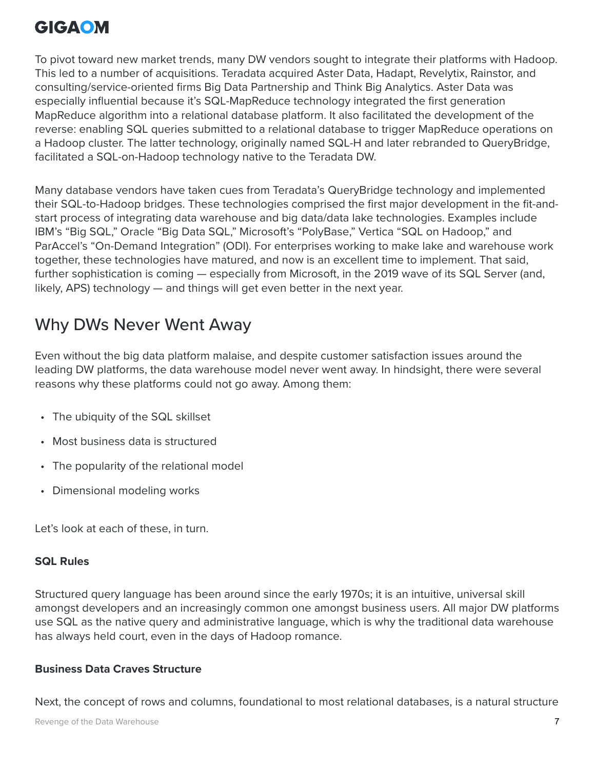To pivot toward new market trends, many DW vendors sought to integrate their platforms with Hadoop. This led to a number of acquisitions. Teradata acquired Aster Data, Hadapt, Revelytix, Rainstor, and consulting/service-oriented firms Big Data Partnership and Think Big Analytics. Aster Data was especially influential because it's SQL-MapReduce technology integrated the first generation MapReduce algorithm into a relational database platform. It also facilitated the development of the reverse: enabling SQL queries submitted to a relational database to trigger MapReduce operations on a Hadoop cluster. The latter technology, originally named SQL-H and later rebranded to QueryBridge, facilitated a SQL-on-Hadoop technology native to the Teradata DW.

Many database vendors have taken cues from Teradata's QueryBridge technology and implemented their SQL-to-Hadoop bridges. These technologies comprised the first major development in the fit-andstart process of integrating data warehouse and big data/data lake technologies. Examples include IBM's "Big SQL," Oracle "Big Data SQL," Microsoft's "PolyBase," Vertica "SQL on Hadoop," and ParAccel's "On-Demand Integration" (ODI). For enterprises working to make lake and warehouse work together, these technologies have matured, and now is an excellent time to implement. That said, further sophistication is coming — especially from Microsoft, in the 2019 wave of its SQL Server (and, likely, APS) technology — and things will get even better in the next year.

#### Why DWs Never Went Away

Even without the big data platform malaise, and despite customer satisfaction issues around the leading DW platforms, the data warehouse model never went away. In hindsight, there were several reasons why these platforms could not go away. Among them:

- The ubiquity of the SQL skillset
- Most business data is structured
- The popularity of the relational model
- Dimensional modeling works

Let's look at each of these, in turn.

#### **SQL Rules**

Structured query language has been around since the early 1970s; it is an intuitive, universal skill amongst developers and an increasingly common one amongst business users. All major DW platforms use SQL as the native query and administrative language, which is why the traditional data warehouse has always held court, even in the days of Hadoop romance.

#### **Business Data Craves Structure**

Next, the concept of rows and columns, foundational to most relational databases, is a natural structure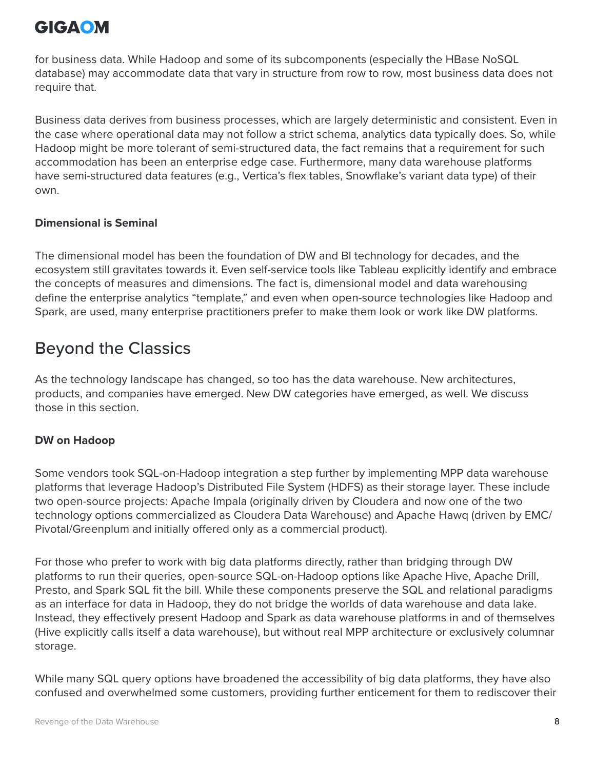for business data. While Hadoop and some of its subcomponents (especially the HBase NoSQL database) may accommodate data that vary in structure from row to row, most business data does not require that.

Business data derives from business processes, which are largely deterministic and consistent. Even in the case where operational data may not follow a strict schema, analytics data typically does. So, while Hadoop might be more tolerant of semi-structured data, the fact remains that a requirement for such accommodation has been an enterprise edge case. Furthermore, many data warehouse platforms have semi-structured data features (e.g., Vertica's flex tables, Snowflake's variant data type) of their own.

#### **Dimensional is Seminal**

The dimensional model has been the foundation of DW and BI technology for decades, and the ecosystem still gravitates towards it. Even self-service tools like Tableau explicitly identify and embrace the concepts of measures and dimensions. The fact is, dimensional model and data warehousing define the enterprise analytics "template," and even when open-source technologies like Hadoop and Spark, are used, many enterprise practitioners prefer to make them look or work like DW platforms.

#### Beyond the Classics

As the technology landscape has changed, so too has the data warehouse. New architectures, products, and companies have emerged. New DW categories have emerged, as well. We discuss those in this section.

#### **DW on Hadoop**

Some vendors took SQL-on-Hadoop integration a step further by implementing MPP data warehouse platforms that leverage Hadoop's Distributed File System (HDFS) as their storage layer. These include two open-source projects: Apache Impala (originally driven by Cloudera and now one of the two technology options commercialized as Cloudera Data Warehouse) and Apache Hawq (driven by EMC/ Pivotal/Greenplum and initially offered only as a commercial product).

For those who prefer to work with big data platforms directly, rather than bridging through DW platforms to run their queries, open-source SQL-on-Hadoop options like Apache Hive, Apache Drill, Presto, and Spark SQL fit the bill. While these components preserve the SQL and relational paradigms as an interface for data in Hadoop, they do not bridge the worlds of data warehouse and data lake. Instead, they effectively present Hadoop and Spark as data warehouse platforms in and of themselves (Hive explicitly calls itself a data warehouse), but without real MPP architecture or exclusively columnar storage.

While many SQL query options have broadened the accessibility of big data platforms, they have also confused and overwhelmed some customers, providing further enticement for them to rediscover their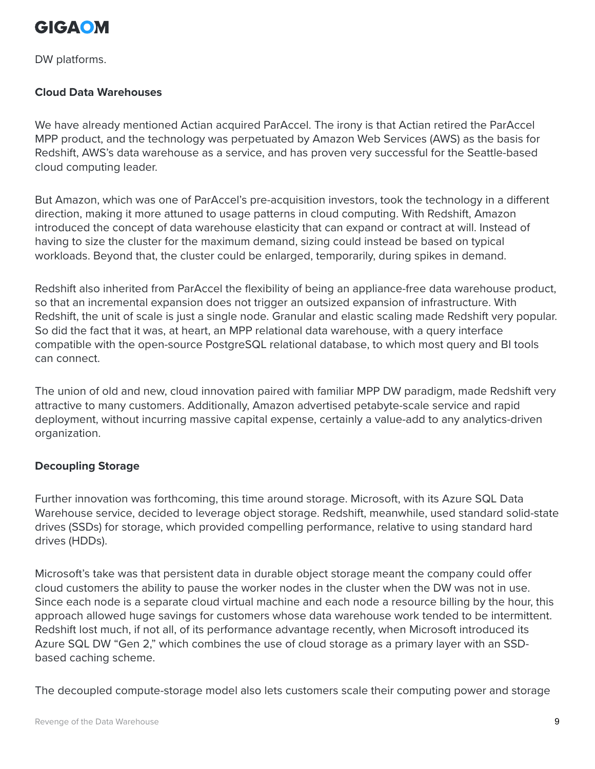

DW platforms.

#### **Cloud Data Warehouses**

We have already mentioned Actian acquired ParAccel. The irony is that Actian retired the ParAccel MPP product, and the technology was perpetuated by Amazon Web Services (AWS) as the basis for Redshift, AWS's data warehouse as a service, and has proven very successful for the Seattle-based cloud computing leader.

But Amazon, which was one of ParAccel's pre-acquisition investors, took the technology in a different direction, making it more attuned to usage patterns in cloud computing. With Redshift, Amazon introduced the concept of data warehouse elasticity that can expand or contract at will. Instead of having to size the cluster for the maximum demand, sizing could instead be based on typical workloads. Beyond that, the cluster could be enlarged, temporarily, during spikes in demand.

Redshift also inherited from ParAccel the flexibility of being an appliance-free data warehouse product, so that an incremental expansion does not trigger an outsized expansion of infrastructure. With Redshift, the unit of scale is just a single node. Granular and elastic scaling made Redshift very popular. So did the fact that it was, at heart, an MPP relational data warehouse, with a query interface compatible with the open-source PostgreSQL relational database, to which most query and BI tools can connect.

The union of old and new, cloud innovation paired with familiar MPP DW paradigm, made Redshift very attractive to many customers. Additionally, Amazon advertised petabyte-scale service and rapid deployment, without incurring massive capital expense, certainly a value-add to any analytics-driven organization.

#### **Decoupling Storage**

Further innovation was forthcoming, this time around storage. Microsoft, with its Azure SQL Data Warehouse service, decided to leverage object storage. Redshift, meanwhile, used standard solid-state drives (SSDs) for storage, which provided compelling performance, relative to using standard hard drives (HDDs).

Microsoft's take was that persistent data in durable object storage meant the company could offer cloud customers the ability to pause the worker nodes in the cluster when the DW was not in use. Since each node is a separate cloud virtual machine and each node a resource billing by the hour, this approach allowed huge savings for customers whose data warehouse work tended to be intermittent. Redshift lost much, if not all, of its performance advantage recently, when Microsoft introduced its Azure SQL DW "Gen 2," which combines the use of cloud storage as a primary layer with an SSDbased caching scheme.

The decoupled compute-storage model also lets customers scale their computing power and storage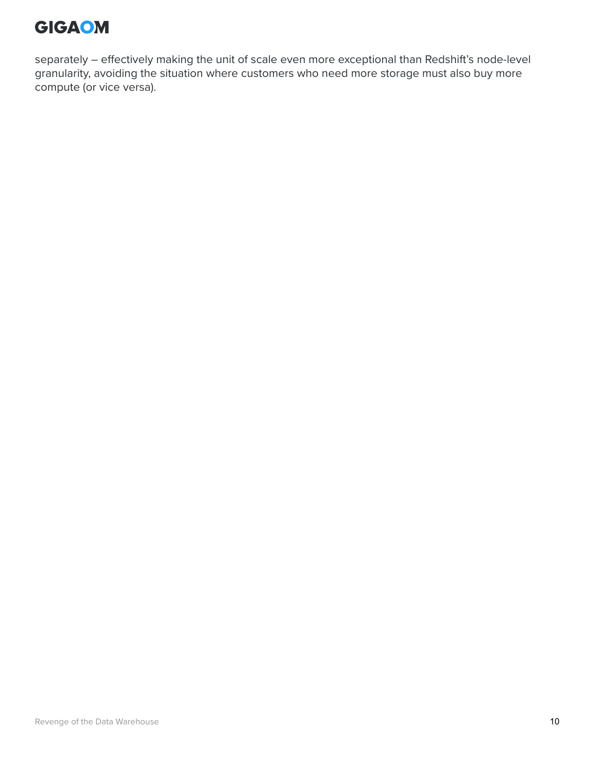

separately – effectively making the unit of scale even more exceptional than Redshift's node-level granularity, avoiding the situation where customers who need more storage must also buy more compute (or vice versa).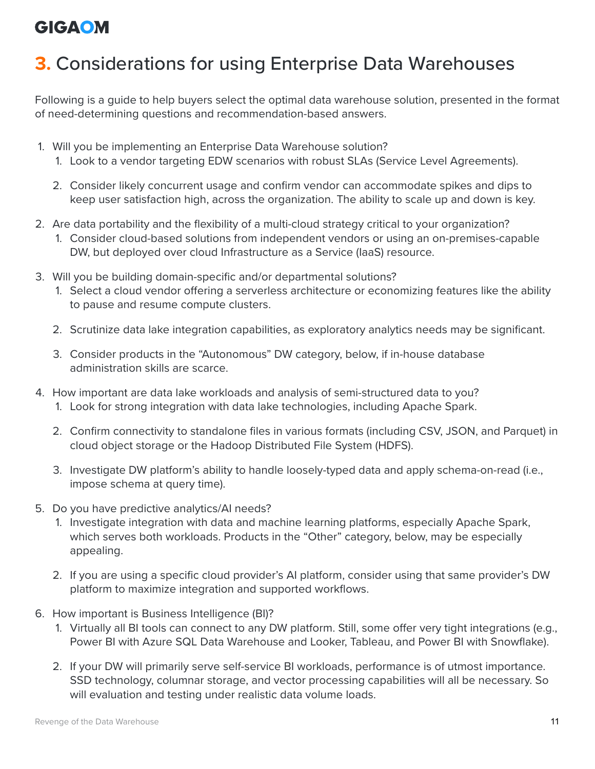# <span id="page-10-0"></span>**3.** Considerations for using Enterprise Data Warehouses

Following is a guide to help buyers select the optimal data warehouse solution, presented in the format of need-determining questions and recommendation-based answers.

- 1. Will you be implementing an Enterprise Data Warehouse solution?
	- 1. Look to a vendor targeting EDW scenarios with robust SLAs (Service Level Agreements).
	- 2. Consider likely concurrent usage and confirm vendor can accommodate spikes and dips to keep user satisfaction high, across the organization. The ability to scale up and down is key.
- 2. Are data portability and the flexibility of a multi-cloud strategy critical to your organization?
	- 1. Consider cloud-based solutions from independent vendors or using an on-premises-capable DW, but deployed over cloud Infrastructure as a Service (IaaS) resource.
- 3. Will you be building domain-specific and/or departmental solutions?
	- 1. Select a cloud vendor offering a serverless architecture or economizing features like the ability to pause and resume compute clusters.
	- 2. Scrutinize data lake integration capabilities, as exploratory analytics needs may be significant.
	- 3. Consider products in the "Autonomous" DW category, below, if in-house database administration skills are scarce.
- 4. How important are data lake workloads and analysis of semi-structured data to you?
	- 1. Look for strong integration with data lake technologies, including Apache Spark.
	- 2. Confirm connectivity to standalone files in various formats (including CSV, JSON, and Parquet) in cloud object storage or the Hadoop Distributed File System (HDFS).
	- 3. Investigate DW platform's ability to handle loosely-typed data and apply schema-on-read (i.e., impose schema at query time).
- 5. Do you have predictive analytics/AI needs?
	- 1. Investigate integration with data and machine learning platforms, especially Apache Spark, which serves both workloads. Products in the "Other" category, below, may be especially appealing.
	- 2. If you are using a specific cloud provider's AI platform, consider using that same provider's DW platform to maximize integration and supported workflows.
- 6. How important is Business Intelligence (BI)?
	- 1. Virtually all BI tools can connect to any DW platform. Still, some offer very tight integrations (e.g., Power BI with Azure SQL Data Warehouse and Looker, Tableau, and Power BI with Snowflake).
	- 2. If your DW will primarily serve self-service BI workloads, performance is of utmost importance. SSD technology, columnar storage, and vector processing capabilities will all be necessary. So will evaluation and testing under realistic data volume loads.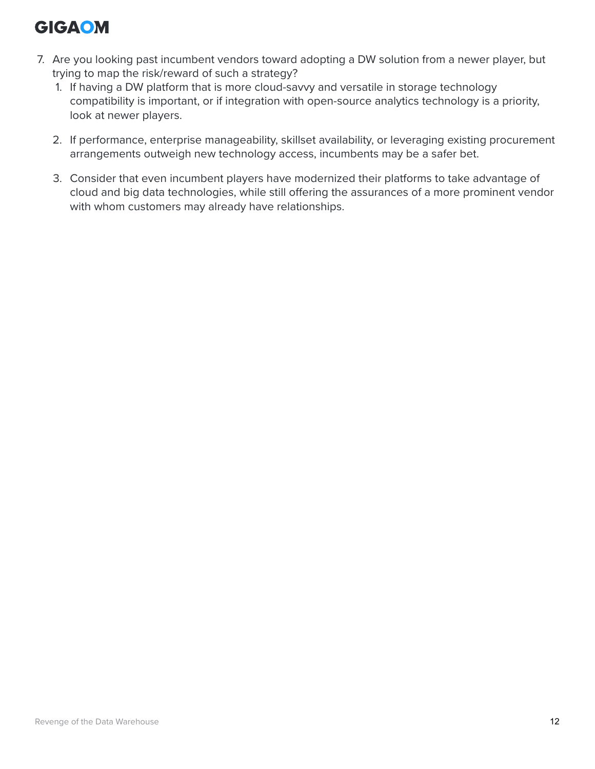- 7. Are you looking past incumbent vendors toward adopting a DW solution from a newer player, but trying to map the risk/reward of such a strategy?
	- 1. If having a DW platform that is more cloud-savvy and versatile in storage technology compatibility is important, or if integration with open-source analytics technology is a priority, look at newer players.
	- 2. If performance, enterprise manageability, skillset availability, or leveraging existing procurement arrangements outweigh new technology access, incumbents may be a safer bet.
	- 3. Consider that even incumbent players have modernized their platforms to take advantage of cloud and big data technologies, while still offering the assurances of a more prominent vendor with whom customers may already have relationships.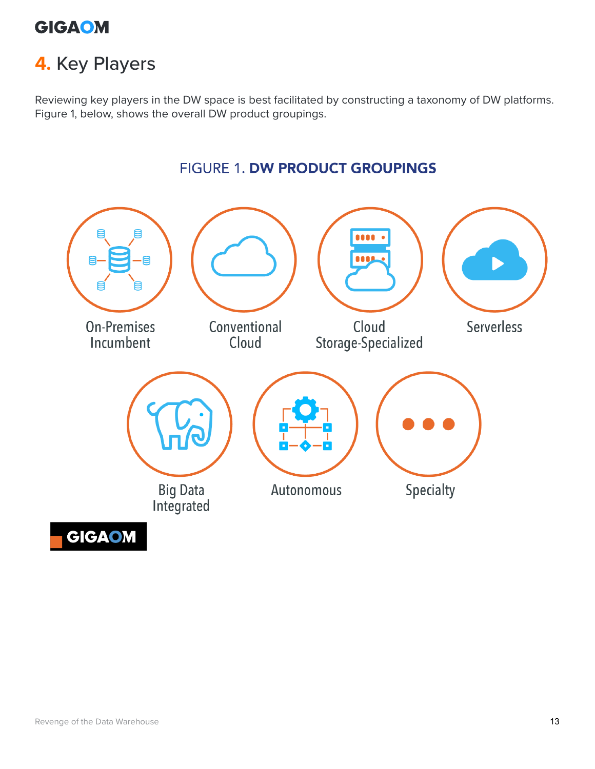

## <span id="page-12-0"></span>**4.** Key Players

Reviewing key players in the DW space is best facilitated by constructing a taxonomy of DW platforms. Figure 1, below, shows the overall DW product groupings.

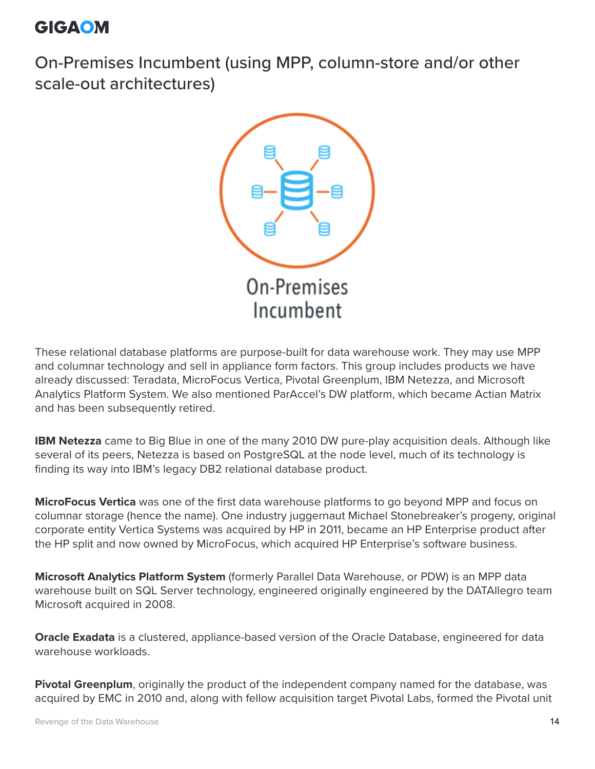On-Premises Incumbent (using MPP, column-store and/or other scale-out architectures)



These relational database platforms are purpose-built for data warehouse work. They may use MPP and columnar technology and sell in appliance form factors. This group includes products we have already discussed: Teradata, MicroFocus Vertica, Pivotal Greenplum, IBM Netezza, and Microsoft Analytics Platform System. We also mentioned ParAccel's DW platform, which became Actian Matrix and has been subsequently retired.

**IBM Netezza** came to Big Blue in one of the many 2010 DW pure-play acquisition deals. Although like several of its peers, Netezza is based on PostgreSQL at the node level, much of its technology is finding its way into IBM's legacy DB2 relational database product.

**MicroFocus Vertica** was one of the first data warehouse platforms to go beyond MPP and focus on columnar storage (hence the name). One industry juggernaut Michael Stonebreaker's progeny, original corporate entity Vertica Systems was acquired by HP in 2011, became an HP Enterprise product after the HP split and now owned by MicroFocus, which acquired HP Enterprise's software business.

**Microsoft Analytics Platform System** (formerly Parallel Data Warehouse, or PDW) is an MPP data warehouse built on SQL Server technology, engineered originally engineered by the DATAllegro team Microsoft acquired in 2008.

**Oracle Exadata** is a clustered, appliance-based version of the Oracle Database, engineered for data warehouse workloads.

**Pivotal Greenplum**, originally the product of the independent company named for the database, was acquired by EMC in 2010 and, along with fellow acquisition target Pivotal Labs, formed the Pivotal unit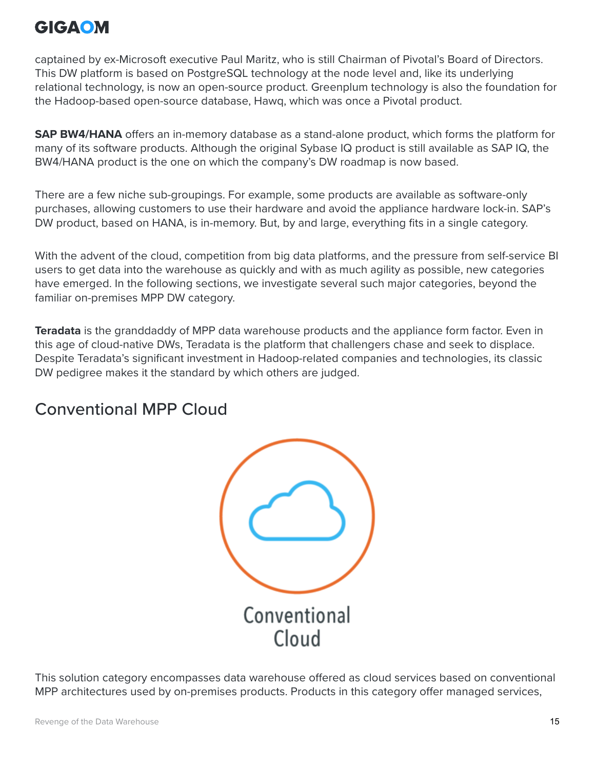captained by ex-Microsoft executive Paul Maritz, who is still Chairman of Pivotal's Board of Directors. This DW platform is based on PostgreSQL technology at the node level and, like its underlying relational technology, is now an open-source product. Greenplum technology is also the foundation for the Hadoop-based open-source database, Hawq, which was once a Pivotal product.

**SAP BW4/HANA** offers an in-memory database as a stand-alone product, which forms the platform for many of its software products. Although the original Sybase IQ product is still available as SAP IQ, the BW4/HANA product is the one on which the company's DW roadmap is now based.

There are a few niche sub-groupings. For example, some products are available as software-only purchases, allowing customers to use their hardware and avoid the appliance hardware lock-in. SAP's DW product, based on HANA, is in-memory. But, by and large, everything fits in a single category.

With the advent of the cloud, competition from big data platforms, and the pressure from self-service BI users to get data into the warehouse as quickly and with as much agility as possible, new categories have emerged. In the following sections, we investigate several such major categories, beyond the familiar on-premises MPP DW category.

**Teradata** is the granddaddy of MPP data warehouse products and the appliance form factor. Even in this age of cloud-native DWs, Teradata is the platform that challengers chase and seek to displace. Despite Teradata's significant investment in Hadoop-related companies and technologies, its classic DW pedigree makes it the standard by which others are judged.

#### Conventional MPP Cloud



This solution category encompasses data warehouse offered as cloud services based on conventional MPP architectures used by on-premises products. Products in this category offer managed services,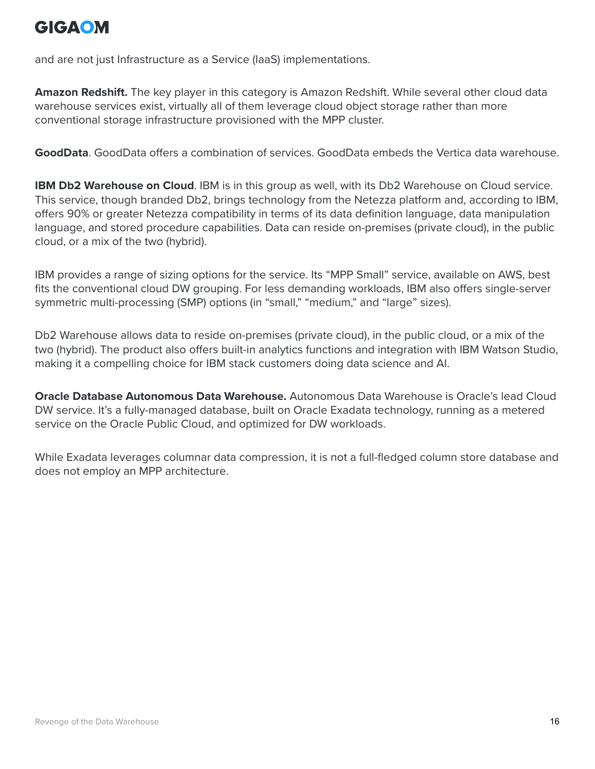and are not just Infrastructure as a Service (IaaS) implementations.

**Amazon Redshift.** The key player in this category is Amazon Redshift. While several other cloud data warehouse services exist, virtually all of them leverage cloud object storage rather than more conventional storage infrastructure provisioned with the MPP cluster.

**GoodData**. GoodData offers a combination of services. GoodData embeds the Vertica data warehouse.

**IBM Db2 Warehouse on Cloud**. IBM is in this group as well, with its Db2 Warehouse on Cloud service. This service, though branded Db2, brings technology from the Netezza platform and, according to IBM, offers 90% or greater Netezza compatibility in terms of its data definition language, data manipulation language, and stored procedure capabilities. Data can reside on-premises (private cloud), in the public cloud, or a mix of the two (hybrid).

IBM provides a range of sizing options for the service. Its "MPP Small" service, available on AWS, best fits the conventional cloud DW grouping. For less demanding workloads, IBM also offers single-server symmetric multi-processing (SMP) options (in "small," "medium," and "large" sizes).

Db2 Warehouse allows data to reside on-premises (private cloud), in the public cloud, or a mix of the two (hybrid). The product also offers built-in analytics functions and integration with IBM Watson Studio, making it a compelling choice for IBM stack customers doing data science and AI.

**Oracle Database Autonomous Data Warehouse.** Autonomous Data Warehouse is Oracle's lead Cloud DW service. It's a fully-managed database, built on Oracle Exadata technology, running as a metered service on the Oracle Public Cloud, and optimized for DW workloads.

While Exadata leverages columnar data compression, it is not a full-fledged column store database and does not employ an MPP architecture.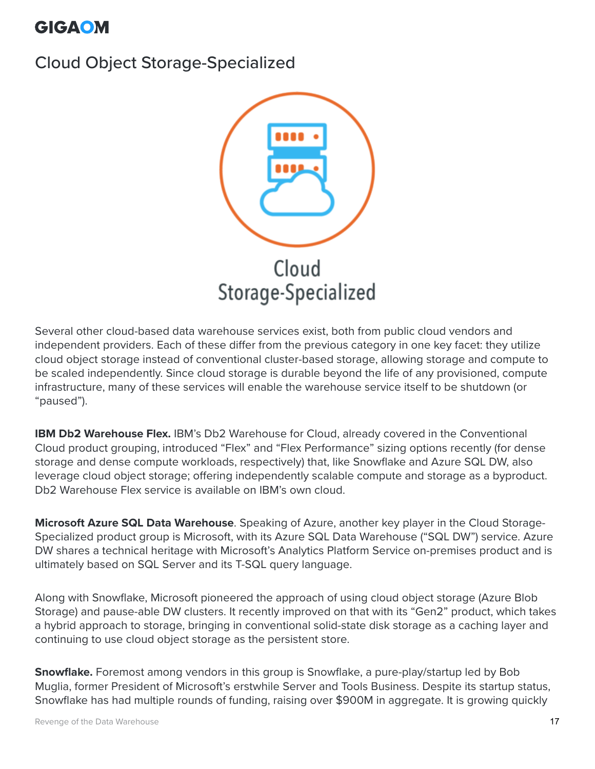#### Cloud Object Storage-Specialized



Several other cloud-based data warehouse services exist, both from public cloud vendors and independent providers. Each of these differ from the previous category in one key facet: they utilize cloud object storage instead of conventional cluster-based storage, allowing storage and compute to be scaled independently. Since cloud storage is durable beyond the life of any provisioned, compute infrastructure, many of these services will enable the warehouse service itself to be shutdown (or "paused").

**IBM Db2 Warehouse Flex.** IBM's Db2 Warehouse for Cloud, already covered in the Conventional Cloud product grouping, introduced "Flex" and "Flex Performance" sizing options recently (for dense storage and dense compute workloads, respectively) that, like Snowflake and Azure SQL DW, also leverage cloud object storage; offering independently scalable compute and storage as a byproduct. Db2 Warehouse Flex service is available on IBM's own cloud.

**Microsoft Azure SQL Data Warehouse**. Speaking of Azure, another key player in the Cloud Storage-Specialized product group is Microsoft, with its Azure SQL Data Warehouse ("SQL DW") service. Azure DW shares a technical heritage with Microsoft's Analytics Platform Service on-premises product and is ultimately based on SQL Server and its T-SQL query language.

Along with Snowflake, Microsoft pioneered the approach of using cloud object storage (Azure Blob Storage) and pause-able DW clusters. It recently improved on that with its "Gen2" product, which takes a hybrid approach to storage, bringing in conventional solid-state disk storage as a caching layer and continuing to use cloud object storage as the persistent store.

**Snowflake.** Foremost among vendors in this group is Snowflake, a pure-play/startup led by Bob Muglia, former President of Microsoft's erstwhile Server and Tools Business. Despite its startup status, Snowflake has had multiple rounds of funding, raising over \$900M in aggregate. It is growing quickly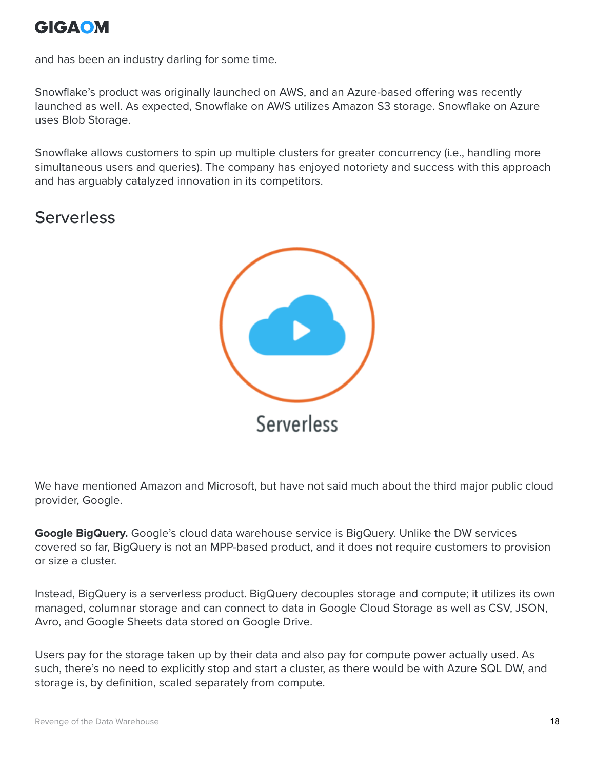and has been an industry darling for some time.

Snowflake's product was originally launched on AWS, and an Azure-based offering was recently launched as well. As expected, Snowflake on AWS utilizes Amazon S3 storage. Snowflake on Azure uses Blob Storage.

Snowflake allows customers to spin up multiple clusters for greater concurrency (i.e., handling more simultaneous users and queries). The company has enjoyed notoriety and success with this approach and has arguably catalyzed innovation in its competitors.

### **Serverless**



We have mentioned Amazon and Microsoft, but have not said much about the third major public cloud provider, Google.

**Google BigQuery.** Google's cloud data warehouse service is BigQuery. Unlike the DW services covered so far, BigQuery is not an MPP-based product, and it does not require customers to provision or size a cluster.

Instead, BigQuery is a serverless product. BigQuery decouples storage and compute; it utilizes its own managed, columnar storage and can connect to data in Google Cloud Storage as well as CSV, JSON, Avro, and Google Sheets data stored on Google Drive.

Users pay for the storage taken up by their data and also pay for compute power actually used. As such, there's no need to explicitly stop and start a cluster, as there would be with Azure SQL DW, and storage is, by definition, scaled separately from compute.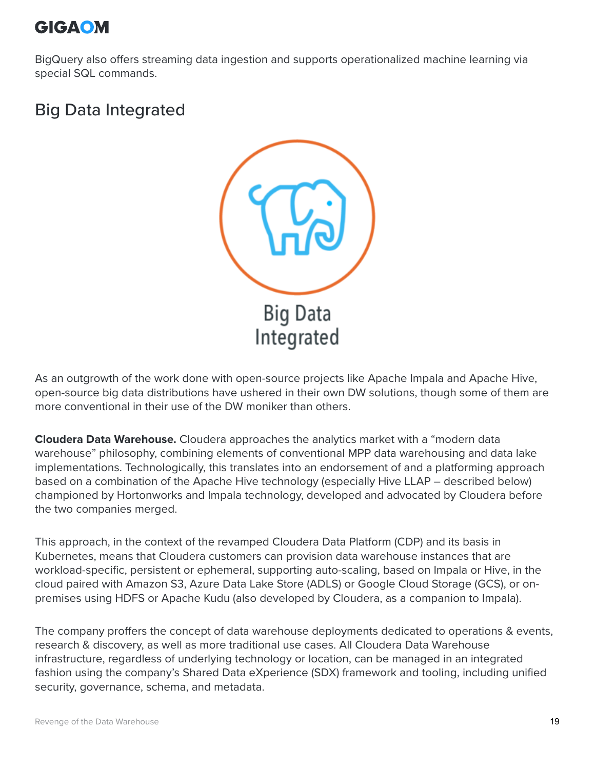BigQuery also offers streaming data ingestion and supports operationalized machine learning via special SQL commands.

#### Big Data Integrated



As an outgrowth of the work done with open-source projects like Apache Impala and Apache Hive, open-source big data distributions have ushered in their own DW solutions, though some of them are more conventional in their use of the DW moniker than others.

**Cloudera Data Warehouse.** Cloudera approaches the analytics market with a "modern data warehouse" philosophy, combining elements of conventional MPP data warehousing and data lake implementations. Technologically, this translates into an endorsement of and a platforming approach based on a combination of the Apache Hive technology (especially Hive LLAP – described below) championed by Hortonworks and Impala technology, developed and advocated by Cloudera before the two companies merged.

This approach, in the context of the revamped Cloudera Data Platform (CDP) and its basis in Kubernetes, means that Cloudera customers can provision data warehouse instances that are workload-specific, persistent or ephemeral, supporting auto-scaling, based on Impala or Hive, in the cloud paired with Amazon S3, Azure Data Lake Store (ADLS) or Google Cloud Storage (GCS), or onpremises using HDFS or Apache Kudu (also developed by Cloudera, as a companion to Impala).

The company proffers the concept of data warehouse deployments dedicated to operations & events, research & discovery, as well as more traditional use cases. All Cloudera Data Warehouse infrastructure, regardless of underlying technology or location, can be managed in an integrated fashion using the company's Shared Data eXperience (SDX) framework and tooling, including unified security, governance, schema, and metadata.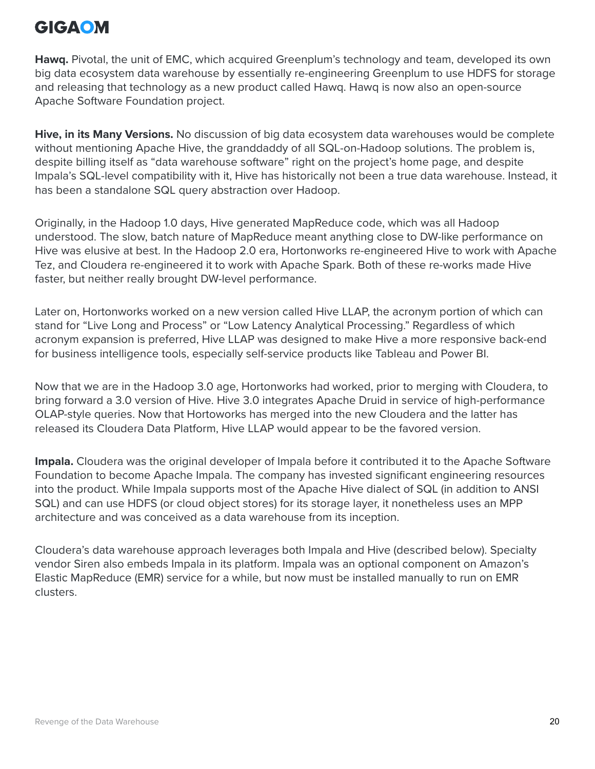**Hawq.** Pivotal, the unit of EMC, which acquired Greenplum's technology and team, developed its own big data ecosystem data warehouse by essentially re-engineering Greenplum to use HDFS for storage and releasing that technology as a new product called Hawq. Hawq is now also an open-source Apache Software Foundation project.

**Hive, in its Many Versions.** No discussion of big data ecosystem data warehouses would be complete without mentioning Apache Hive, the granddaddy of all SQL-on-Hadoop solutions. The problem is, despite billing itself as "data warehouse software" right on the project's home page, and despite Impala's SQL-level compatibility with it, Hive has historically not been a true data warehouse. Instead, it has been a standalone SQL query abstraction over Hadoop.

Originally, in the Hadoop 1.0 days, Hive generated MapReduce code, which was all Hadoop understood. The slow, batch nature of MapReduce meant anything close to DW-like performance on Hive was elusive at best. In the Hadoop 2.0 era, Hortonworks re-engineered Hive to work with Apache Tez, and Cloudera re-engineered it to work with Apache Spark. Both of these re-works made Hive faster, but neither really brought DW-level performance.

Later on, Hortonworks worked on a new version called Hive LLAP, the acronym portion of which can stand for "Live Long and Process" or "Low Latency Analytical Processing." Regardless of which acronym expansion is preferred, Hive LLAP was designed to make Hive a more responsive back-end for business intelligence tools, especially self-service products like Tableau and Power BI.

Now that we are in the Hadoop 3.0 age, Hortonworks had worked, prior to merging with Cloudera, to bring forward a 3.0 version of Hive. Hive 3.0 integrates Apache Druid in service of high-performance OLAP-style queries. Now that Hortoworks has merged into the new Cloudera and the latter has released its Cloudera Data Platform, Hive LLAP would appear to be the favored version.

**Impala.** Cloudera was the original developer of Impala before it contributed it to the Apache Software Foundation to become Apache Impala. The company has invested significant engineering resources into the product. While Impala supports most of the Apache Hive dialect of SQL (in addition to ANSI SQL) and can use HDFS (or cloud object stores) for its storage layer, it nonetheless uses an MPP architecture and was conceived as a data warehouse from its inception.

Cloudera's data warehouse approach leverages both Impala and Hive (described below). Specialty vendor Siren also embeds Impala in its platform. Impala was an optional component on Amazon's Elastic MapReduce (EMR) service for a while, but now must be installed manually to run on EMR clusters.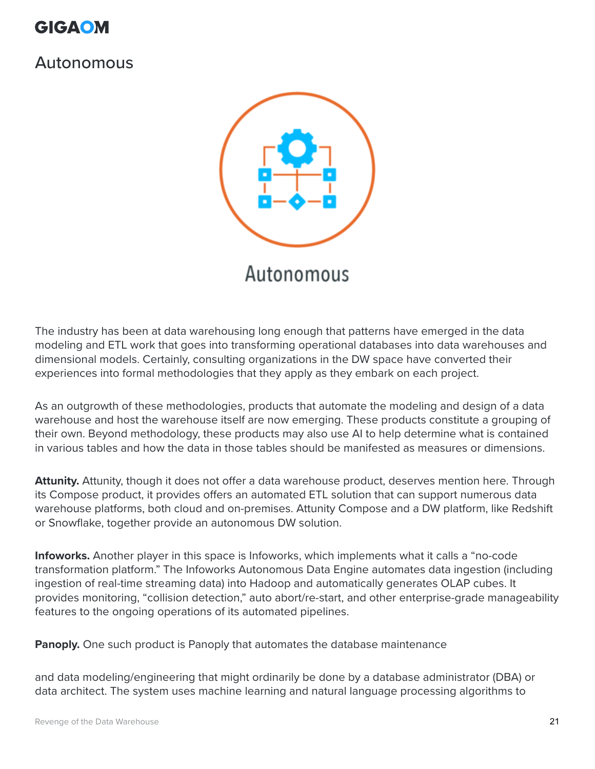

#### Autonomous



The industry has been at data warehousing long enough that patterns have emerged in the data modeling and ETL work that goes into transforming operational databases into data warehouses and dimensional models. Certainly, consulting organizations in the DW space have converted their experiences into formal methodologies that they apply as they embark on each project.

As an outgrowth of these methodologies, products that automate the modeling and design of a data warehouse and host the warehouse itself are now emerging. These products constitute a grouping of their own. Beyond methodology, these products may also use AI to help determine what is contained in various tables and how the data in those tables should be manifested as measures or dimensions.

**Attunity.** Attunity, though it does not offer a data warehouse product, deserves mention here. Through its Compose product, it provides offers an automated ETL solution that can support numerous data warehouse platforms, both cloud and on-premises. Attunity Compose and a DW platform, like Redshift or Snowflake, together provide an autonomous DW solution.

**Infoworks.** Another player in this space is Infoworks, which implements what it calls a "no-code transformation platform." The Infoworks Autonomous Data Engine automates data ingestion (including ingestion of real-time streaming data) into Hadoop and automatically generates OLAP cubes. It provides monitoring, "collision detection," auto abort/re-start, and other enterprise-grade manageability features to the ongoing operations of its automated pipelines.

**Panoply.** One such product is Panoply that automates the database maintenance

and data modeling/engineering that might ordinarily be done by a database administrator (DBA) or data architect. The system uses machine learning and natural language processing algorithms to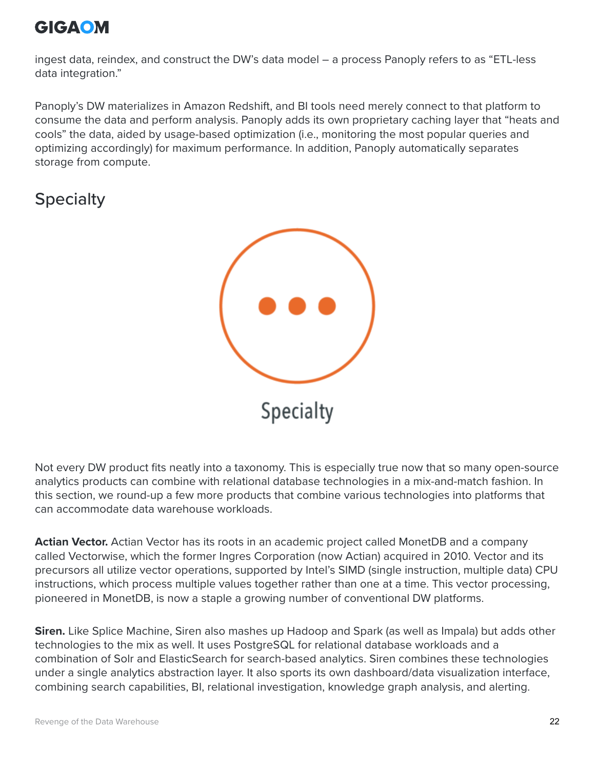

ingest data, reindex, and construct the DW's data model – a process Panoply refers to as "ETL-less data integration."

Panoply's DW materializes in Amazon Redshift, and BI tools need merely connect to that platform to consume the data and perform analysis. Panoply adds its own proprietary caching layer that "heats and cools" the data, aided by usage-based optimization (i.e., monitoring the most popular queries and optimizing accordingly) for maximum performance. In addition, Panoply automatically separates storage from compute.

#### **Specialty**



Not every DW product fits neatly into a taxonomy. This is especially true now that so many open-source analytics products can combine with relational database technologies in a mix-and-match fashion. In this section, we round-up a few more products that combine various technologies into platforms that can accommodate data warehouse workloads.

**Actian Vector.** Actian Vector has its roots in an academic project called MonetDB and a company called Vectorwise, which the former Ingres Corporation (now Actian) acquired in 2010. Vector and its precursors all utilize vector operations, supported by Intel's SIMD (single instruction, multiple data) CPU instructions, which process multiple values together rather than one at a time. This vector processing, pioneered in MonetDB, is now a staple a growing number of conventional DW platforms.

**Siren.** Like Splice Machine, Siren also mashes up Hadoop and Spark (as well as Impala) but adds other technologies to the mix as well. It uses PostgreSQL for relational database workloads and a combination of Solr and ElasticSearch for search-based analytics. Siren combines these technologies under a single analytics abstraction layer. It also sports its own dashboard/data visualization interface, combining search capabilities, BI, relational investigation, knowledge graph analysis, and alerting.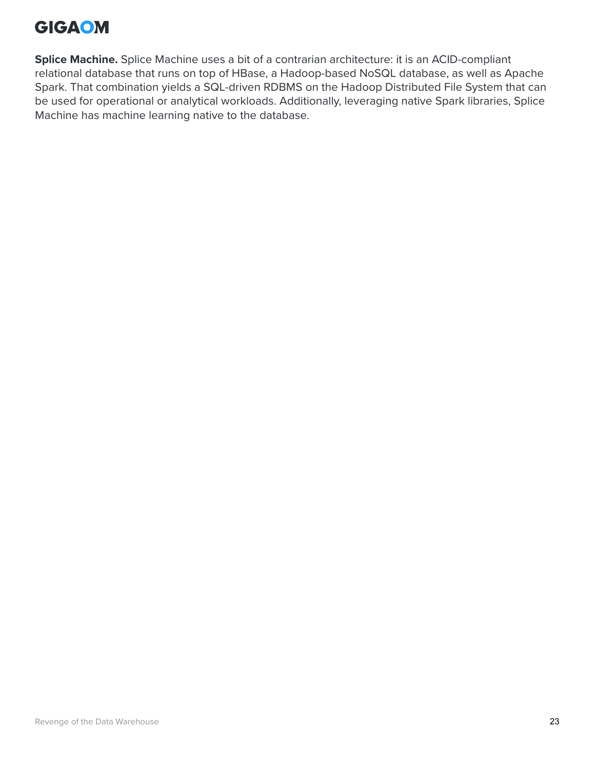**Splice Machine.** Splice Machine uses a bit of a contrarian architecture: it is an ACID-compliant relational database that runs on top of HBase, a Hadoop-based NoSQL database, as well as Apache Spark. That combination yields a SQL-driven RDBMS on the Hadoop Distributed File System that can be used for operational or analytical workloads. Additionally, leveraging native Spark libraries, Splice Machine has machine learning native to the database.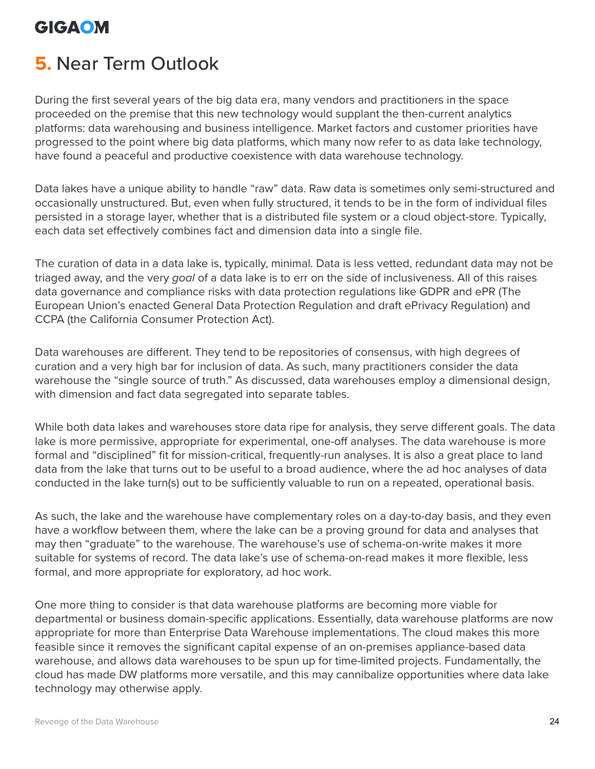## <span id="page-23-0"></span>**5.** Near Term Outlook

During the first several years of the big data era, many vendors and practitioners in the space proceeded on the premise that this new technology would supplant the then-current analytics platforms: data warehousing and business intelligence. Market factors and customer priorities have progressed to the point where big data platforms, which many now refer to as data lake technology, have found a peaceful and productive coexistence with data warehouse technology.

Data lakes have a unique ability to handle "raw" data. Raw data is sometimes only semi-structured and occasionally unstructured. But, even when fully structured, it tends to be in the form of individual files persisted in a storage layer, whether that is a distributed file system or a cloud object-store. Typically, each data set effectively combines fact and dimension data into a single file.

The curation of data in a data lake is, typically, minimal. Data is less vetted, redundant data may not be triaged away, and the very *goal* of a data lake is to err on the side of inclusiveness. All of this raises data governance and compliance risks with data protection regulations like GDPR and ePR (The European Union's enacted General Data Protection Regulation and draft ePrivacy Regulation) and CCPA (the California Consumer Protection Act).

Data warehouses are different. They tend to be repositories of consensus, with high degrees of curation and a very high bar for inclusion of data. As such, many practitioners consider the data warehouse the "single source of truth." As discussed, data warehouses employ a dimensional design, with dimension and fact data segregated into separate tables.

While both data lakes and warehouses store data ripe for analysis, they serve different goals. The data lake is more permissive, appropriate for experimental, one-off analyses. The data warehouse is more formal and "disciplined" fit for mission-critical, frequently-run analyses. It is also a great place to land data from the lake that turns out to be useful to a broad audience, where the ad hoc analyses of data conducted in the lake turn(s) out to be sufficiently valuable to run on a repeated, operational basis.

As such, the lake and the warehouse have complementary roles on a day-to-day basis, and they even have a workflow between them, where the lake can be a proving ground for data and analyses that may then "graduate" to the warehouse. The warehouse's use of schema-on-write makes it more suitable for systems of record. The data lake's use of schema-on-read makes it more flexible, less formal, and more appropriate for exploratory, ad hoc work.

One more thing to consider is that data warehouse platforms are becoming more viable for departmental or business domain-specific applications. Essentially, data warehouse platforms are now appropriate for more than Enterprise Data Warehouse implementations. The cloud makes this more feasible since it removes the significant capital expense of an on-premises appliance-based data warehouse, and allows data warehouses to be spun up for time-limited projects. Fundamentally, the cloud has made DW platforms more versatile, and this may cannibalize opportunities where data lake technology may otherwise apply.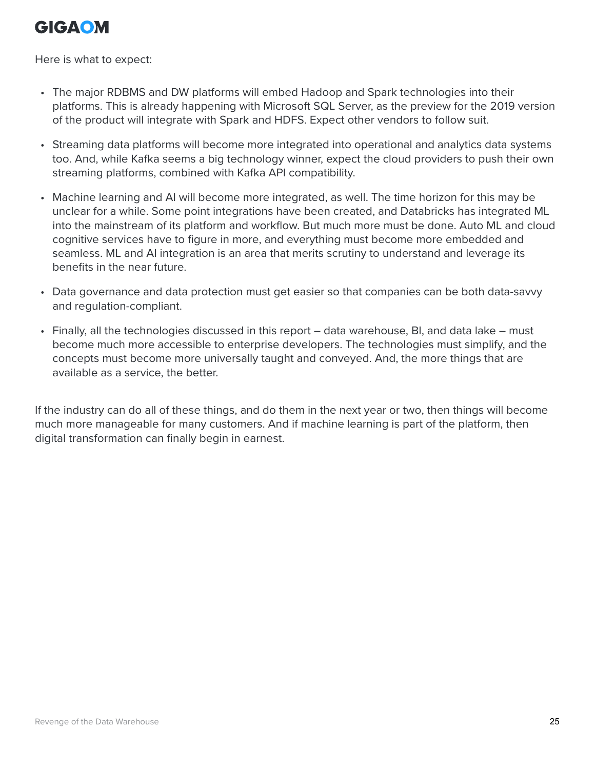Here is what to expect:

- The major RDBMS and DW platforms will embed Hadoop and Spark technologies into their platforms. This is already happening with Microsoft SQL Server, as the preview for the 2019 version of the product will integrate with Spark and HDFS. Expect other vendors to follow suit.
- Streaming data platforms will become more integrated into operational and analytics data systems too. And, while Kafka seems a big technology winner, expect the cloud providers to push their own streaming platforms, combined with Kafka API compatibility.
- Machine learning and AI will become more integrated, as well. The time horizon for this may be unclear for a while. Some point integrations have been created, and Databricks has integrated ML into the mainstream of its platform and workflow. But much more must be done. Auto ML and cloud cognitive services have to figure in more, and everything must become more embedded and seamless. ML and AI integration is an area that merits scrutiny to understand and leverage its benefits in the near future.
- Data governance and data protection must get easier so that companies can be both data-savvy and regulation-compliant.
- Finally, all the technologies discussed in this report data warehouse, BI, and data lake must become much more accessible to enterprise developers. The technologies must simplify, and the concepts must become more universally taught and conveyed. And, the more things that are available as a service, the better.

If the industry can do all of these things, and do them in the next year or two, then things will become much more manageable for many customers. And if machine learning is part of the platform, then digital transformation can finally begin in earnest.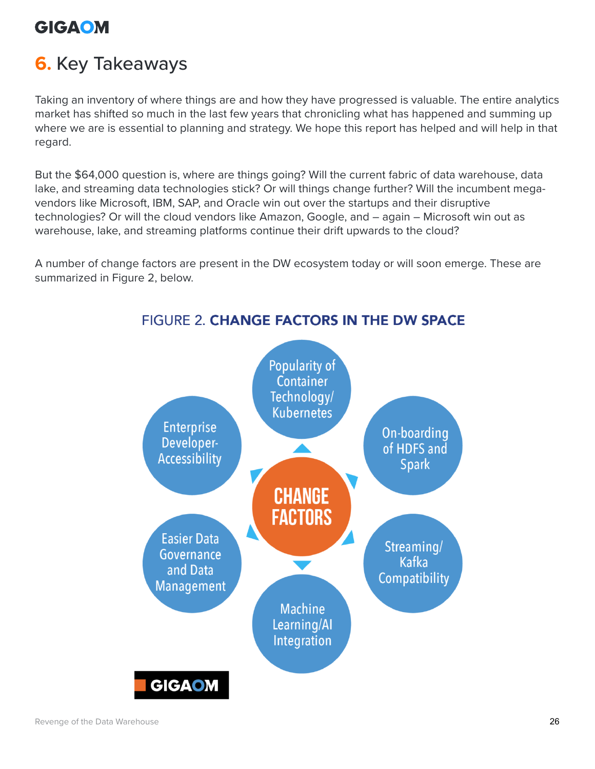# <span id="page-25-0"></span>**6.** Key Takeaways

Taking an inventory of where things are and how they have progressed is valuable. The entire analytics market has shifted so much in the last few years that chronicling what has happened and summing up where we are is essential to planning and strategy. We hope this report has helped and will help in that regard.

But the \$64,000 question is, where are things going? Will the current fabric of data warehouse, data lake, and streaming data technologies stick? Or will things change further? Will the incumbent megavendors like Microsoft, IBM, SAP, and Oracle win out over the startups and their disruptive technologies? Or will the cloud vendors like Amazon, Google, and – again – Microsoft win out as warehouse, lake, and streaming platforms continue their drift upwards to the cloud?

A number of change factors are present in the DW ecosystem today or will soon emerge. These are summarized in Figure 2, below.



#### **FIGURE 2. CHANGE FACTORS IN THE DW SPACE**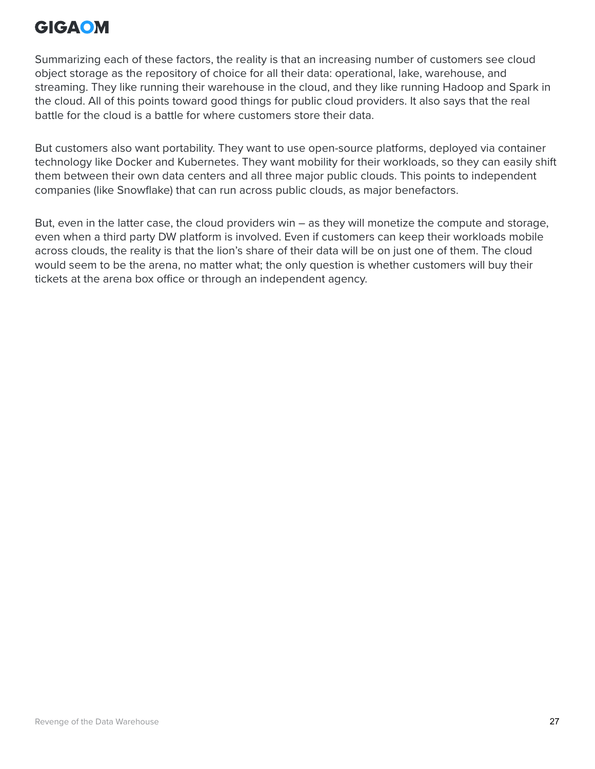Summarizing each of these factors, the reality is that an increasing number of customers see cloud object storage as the repository of choice for all their data: operational, lake, warehouse, and streaming. They like running their warehouse in the cloud, and they like running Hadoop and Spark in the cloud. All of this points toward good things for public cloud providers. It also says that the real battle for the cloud is a battle for where customers store their data.

But customers also want portability. They want to use open-source platforms, deployed via container technology like Docker and Kubernetes. They want mobility for their workloads, so they can easily shift them between their own data centers and all three major public clouds. This points to independent companies (like Snowflake) that can run across public clouds, as major benefactors.

But, even in the latter case, the cloud providers win – as they will monetize the compute and storage, even when a third party DW platform is involved. Even if customers can keep their workloads mobile across clouds, the reality is that the lion's share of their data will be on just one of them. The cloud would seem to be the arena, no matter what; the only question is whether customers will buy their tickets at the arena box office or through an independent agency.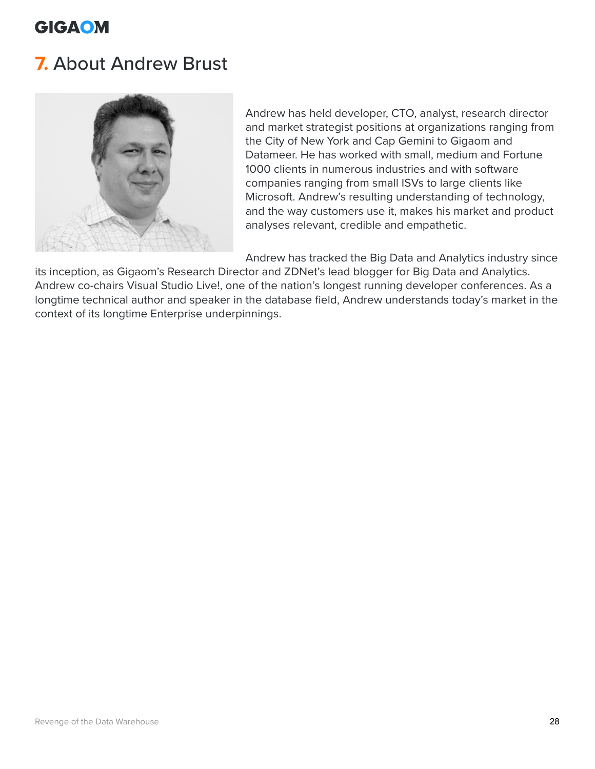## <span id="page-27-0"></span>**7.** About Andrew Brust



Andrew has held developer, CTO, analyst, research director and market strategist positions at organizations ranging from the City of New York and Cap Gemini to Gigaom and Datameer. He has worked with small, medium and Fortune 1000 clients in numerous industries and with software companies ranging from small ISVs to large clients like Microsoft. Andrew's resulting understanding of technology, and the way customers use it, makes his market and product analyses relevant, credible and empathetic.

Andrew has tracked the Big Data and Analytics industry since

its inception, as Gigaom's Research Director and ZDNet's lead blogger for Big Data and Analytics. Andrew co-chairs Visual Studio Live!, one of the nation's longest running developer conferences. As a longtime technical author and speaker in the database field, Andrew understands today's market in the context of its longtime Enterprise underpinnings.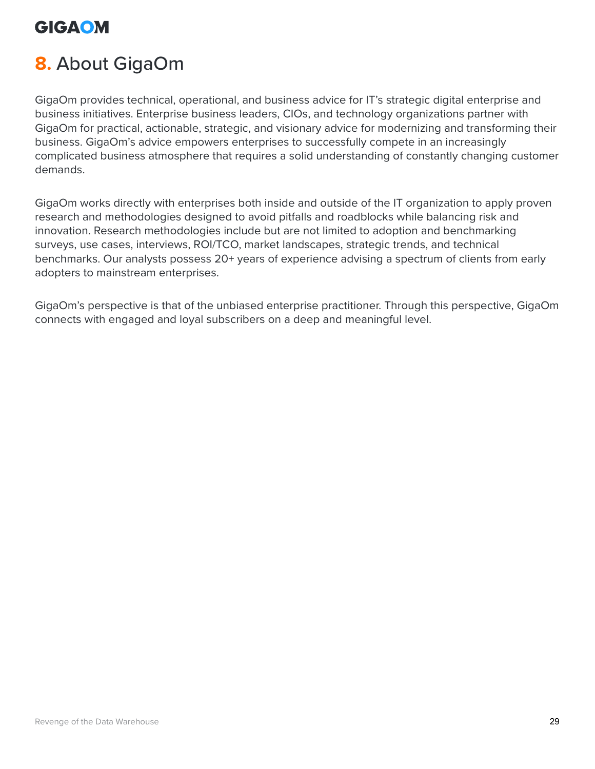# <span id="page-28-0"></span>**8.** About GigaOm

GigaOm provides technical, operational, and business advice for IT's strategic digital enterprise and business initiatives. Enterprise business leaders, CIOs, and technology organizations partner with GigaOm for practical, actionable, strategic, and visionary advice for modernizing and transforming their business. GigaOm's advice empowers enterprises to successfully compete in an increasingly complicated business atmosphere that requires a solid understanding of constantly changing customer demands.

GigaOm works directly with enterprises both inside and outside of the IT organization to apply proven research and methodologies designed to avoid pitfalls and roadblocks while balancing risk and innovation. Research methodologies include but are not limited to adoption and benchmarking surveys, use cases, interviews, ROI/TCO, market landscapes, strategic trends, and technical benchmarks. Our analysts possess 20+ years of experience advising a spectrum of clients from early adopters to mainstream enterprises.

GigaOm's perspective is that of the unbiased enterprise practitioner. Through this perspective, GigaOm connects with engaged and loyal subscribers on a deep and meaningful level.